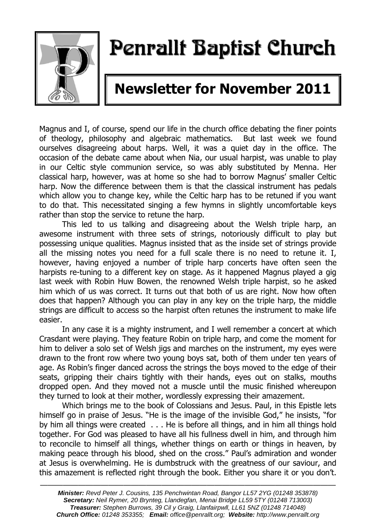

# Penrallt Baptist Church

# **Newsletter for November 2011**

Magnus and I, of course, spend our life in the church office debating the finer points of theology, philosophy and algebraic mathematics. But last week we found ourselves disagreeing about harps. Well, it was a quiet day in the office. The occasion of the debate came about when Nia, our usual harpist, was unable to play in our Celtic style communion service, so was ably substituted by Menna. Her classical harp, however, was at home so she had to borrow Magnus' smaller Celtic harp. Now the difference between them is that the classical instrument has pedals which allow you to change key, while the Celtic harp has to be retuned if you want to do that. This necessitated singing a few hymns in slightly uncomfortable keys rather than stop the service to retune the harp.

This led to us talking and disagreeing about the Welsh triple harp, an awesome instrument with three sets of strings, notoriously difficult to play but possessing unique qualities. Magnus insisted that as the inside set of strings provide all the missing notes you need for a full scale there is no need to retune it. I, however, having enjoyed a number of triple harp concerts have often seen the harpists re-tuning to a different key on stage. As it happened Magnus played a gig last week with Robin Huw Bowen, the renowned Welsh triple harpist, so he asked him which of us was correct. It turns out that both of us are right. Now how often does that happen? Although you can play in any key on the triple harp, the middle strings are difficult to access so the harpist often retunes the instrument to make life easier.

In any case it is a mighty instrument, and I well remember a concert at which Crasdant were playing. They feature Robin on triple harp, and come the moment for him to deliver a solo set of Welsh jigs and marches on the instrument, my eyes were drawn to the front row where two young boys sat, both of them under ten years of age. As Robin's finger danced across the strings the boys moved to the edge of their seats, gripping their chairs tightly with their hands, eyes out on stalks, mouths dropped open. And they moved not a muscle until the music finished whereupon they turned to look at their mother, wordlessly expressing their amazement.

Which brings me to the book of Colossians and Jesus. Paul, in this Epistle lets himself go in praise of Jesus. "He is the image of the invisible God," he insists, "for by him all things were created . . . He is before all things, and in him all things hold together. For God was pleased to have all his fullness dwell in him, and through him to reconcile to himself all things, whether things on earth or things in heaven, by making peace through his blood, shed on the cross." Paul's admiration and wonder at Jesus is overwhelming. He is dumbstruck with the greatness of our saviour, and this amazement is reflected right through the book. Either you share it or you don't.

———————————————————————————————————————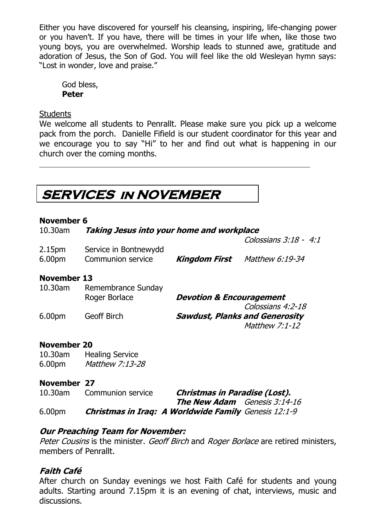Either you have discovered for yourself his cleansing, inspiring, life-changing power or you haven't. If you have, there will be times in your life when, like those two young boys, you are overwhelmed. Worship leads to stunned awe, gratitude and adoration of Jesus, the Son of God. You will feel like the old Wesleyan hymn says: "Lost in wonder, love and praise."

God bless, **Peter**

#### **Students**

We welcome all students to Penrallt. Please make sure you pick up a welcome pack from the porch. Danielle Fifield is our student coordinator for this year and we encourage you to say "Hi" to her and find out what is happening in our church over the coming months.

### **SERVICES in NOVEMBER**

#### **November 6**

| 10.30am                       | Taking Jesus into your home and workplace  |                                     |                                                         |
|-------------------------------|--------------------------------------------|-------------------------------------|---------------------------------------------------------|
|                               |                                            |                                     | Colossians 3:18 - 4:1                                   |
| 2.15 <sub>pm</sub><br>6.00pm  | Service in Bontnewydd<br>Communion service |                                     | <b>Kingdom First</b> Matthew 6:19-34                    |
| <b>November 13</b><br>10.30am | Remembrance Sunday                         |                                     |                                                         |
|                               | Roger Borlace                              | <b>Devotion &amp; Encouragement</b> | Colossians 4:2-18                                       |
| 6.00pm                        | <b>Geoff Birch</b>                         |                                     | <b>Sawdust, Planks and Generosity</b><br>Matthew 7:1-12 |
| <b>November 20</b><br>10.30am | <b>Healing Service</b>                     |                                     |                                                         |

6.00pm Matthew 7:13-28

### **November 27**

| 10.30am            | Communion service                                           | <b>Christmas in Paradise (Lost).</b> |  |
|--------------------|-------------------------------------------------------------|--------------------------------------|--|
|                    |                                                             | <b>The New Adam</b> Genesis 3:14-16  |  |
| 6.00 <sub>pm</sub> | <b>Christmas in Iraq: A Worldwide Family</b> Genesis 12:1-9 |                                      |  |

### **Our Preaching Team for November:**

Peter Cousins is the minister. Geoff Birch and Roger Borlace are retired ministers, members of Penrallt.

### **Faith Café**

After church on Sunday evenings we host Faith Café for students and young adults. Starting around 7.15pm it is an evening of chat, interviews, music and discussions.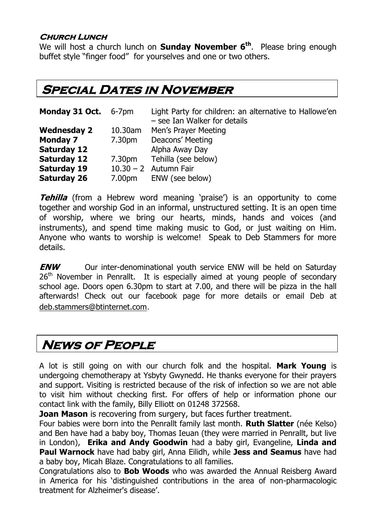### **Church Lunch**

We will host a church lunch on **Sunday November 6 th**. Please bring enough buffet style "finger food" for yourselves and one or two others.

### **Special Dates in November**

| Monday 31 Oct. 6-7pm |         | Light Party for children: an alternative to Hallowe'en<br>- see Ian Walker for details |
|----------------------|---------|----------------------------------------------------------------------------------------|
| <b>Wednesday 2</b>   | 10.30am | Men's Prayer Meeting                                                                   |
| <b>Monday 7</b>      | 7.30pm  | Deacons' Meeting                                                                       |
| <b>Saturday 12</b>   |         | Alpha Away Day                                                                         |
| <b>Saturday 12</b>   |         | 7.30pm Tehilla (see below)                                                             |
| <b>Saturday 19</b>   |         | $10.30 - 2$ Autumn Fair                                                                |
| <b>Saturday 26</b>   |         | 7.00pm ENW (see below)                                                                 |

**Tehilla** (from a Hebrew word meaning 'praise') is an opportunity to come together and worship God in an informal, unstructured setting. It is an open time of worship, where we bring our hearts, minds, hands and voices (and instruments), and spend time making music to God, or just waiting on Him. Anyone who wants to worship is welcome! Speak to Deb Stammers for more details.

**ENW** Our inter-denominational youth service ENW will be held on Saturday 26<sup>th</sup> November in Penrallt. It is especially aimed at young people of secondary school age. Doors open 6.30pm to start at 7.00, and there will be pizza in the hall afterwards! Check out our facebook page for more details or email Deb at [deb.stammers@btinternet.com](mailto:deb.stammers@btinternet.com).

### **News of People**

A lot is still going on with our church folk and the hospital. **Mark Young** is undergoing chemotherapy at Ysbyty Gwynedd. He thanks everyone for their prayers and support. Visiting is restricted because of the risk of infection so we are not able to visit him without checking first. For offers of help or information phone our contact link with the family, Billy Elliott on 01248 372568.

**Joan Mason** is recovering from surgery, but faces further treatment.

Four babies were born into the Penrallt family last month. **Ruth Slatter** (née Kelso) and Ben have had a baby boy, Thomas Ieuan (they were married in Penrallt, but live in London), **Erika and Andy Goodwin** had a baby girl, Evangeline, **Linda and Paul Warnock** have had baby girl, Anna Eilidh, while **Jess and Seamus** have had a baby boy, Micah Blaze. Congratulations to all families.

Congratulations also to **Bob Woods** who was awarded the Annual Reisberg Award in America for his 'distinguished contributions in the area of non-pharmacologic treatment for Alzheimer's disease'.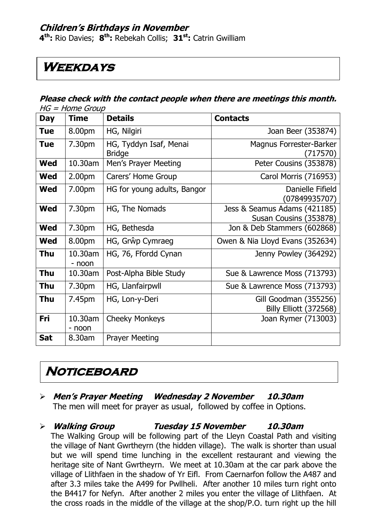### **Children's Birthdays in November**

**4 th:** Rio Davies; **8 th:** Rebekah Collis; **31st:** Catrin Gwilliam

### **Weekdays**

#### **Please check with the contact people when there are meetings this month.**   $HC - H<sub>OMO</sub>$  Group

| שטוט <del>ס</del> וווטו ו – טו ו |                    |                                         |                                                        |
|----------------------------------|--------------------|-----------------------------------------|--------------------------------------------------------|
| <b>Day</b>                       | <b>Time</b>        | <b>Details</b>                          | <b>Contacts</b>                                        |
| <b>Tue</b>                       | 8.00pm             | HG, Nilgiri                             | Joan Beer (353874)                                     |
| Tue                              | 7.30pm             | HG, Tyddyn Isaf, Menai<br><b>Bridge</b> | Magnus Forrester-Barker<br>(717570)                    |
| <b>Wed</b>                       | 10.30am            | Men's Prayer Meeting                    | Peter Cousins (353878)                                 |
| <b>Wed</b>                       | 2.00 <sub>pm</sub> | Carers' Home Group                      | Carol Morris (716953)                                  |
| <b>Wed</b>                       | 7.00pm             | HG for young adults, Bangor             | Danielle Fifield<br>(07849935707)                      |
| <b>Wed</b>                       | 7.30pm             | HG, The Nomads                          | Jess & Seamus Adams (421185)<br>Susan Cousins (353878) |
| <b>Wed</b>                       | 7.30pm             | HG, Bethesda                            | Jon & Deb Stammers (602868)                            |
| <b>Wed</b>                       | 8.00pm             | HG, Grŵp Cymraeg                        | Owen & Nia Lloyd Evans (352634)                        |
| <b>Thu</b>                       | 10.30am<br>- noon  | HG, 76, Ffordd Cynan                    | Jenny Powley (364292)                                  |
| <b>Thu</b>                       | 10.30am            | Post-Alpha Bible Study                  | Sue & Lawrence Moss (713793)                           |
| <b>Thu</b>                       | 7.30pm             | HG, Llanfairpwll                        | Sue & Lawrence Moss (713793)                           |
| <b>Thu</b>                       | 7.45pm             | HG, Lon-y-Deri                          | Gill Goodman (355256)<br><b>Billy Elliott (372568)</b> |
| Fri                              | 10.30am<br>- noon  | <b>Cheeky Monkeys</b>                   | Joan Rymer (713003)                                    |
| <b>Sat</b>                       | 8.30am             | <b>Prayer Meeting</b>                   |                                                        |

### **Noticeboard**

### **Men's Prayer Meeting Wednesday 2 November 10.30am**

The men will meet for prayer as usual, followed by coffee in Options.

**Walking Group Tuesday 15 November 10.30am**

The Walking Group will be following part of the Lleyn Coastal Path and visiting the village of Nant Gwrtheyrn (the hidden village). The walk is shorter than usual but we will spend time lunching in the excellent restaurant and viewing the heritage site of Nant Gwrtheyrn. We meet at 10.30am at the car park above the village of Llithfaen in the shadow of Yr Eifl. From Caernarfon follow the A487 and after 3.3 miles take the A499 for Pwllheli. After another 10 miles turn right onto the B4417 for Nefyn. After another 2 miles you enter the village of Llithfaen. At the cross roads in the middle of the village at the shop/P.O. turn right up the hill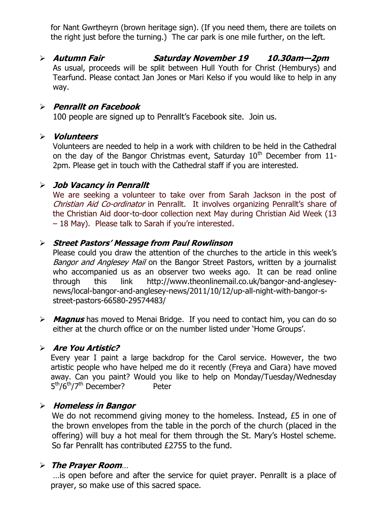for Nant Gwrtheyrn (brown heritage sign). (If you need them, there are toilets on the right just before the turning.) The car park is one mile further, on the left.

 **Autumn Fair Saturday November 19 10.30am—2pm** As usual, proceeds will be split between Hull Youth for Christ (Hemburys) and Tearfund. Please contact Jan Jones or Mari Kelso if you would like to help in any way.

### **Penrallt on Facebook**

100 people are signed up to Penrallt's Facebook site. Join us.

#### **Volunteers**

Volunteers are needed to help in a work with children to be held in the Cathedral on the day of the Bangor Christmas event, Saturday  $10<sup>th</sup>$  December from 11-2pm. Please get in touch with the Cathedral staff if you are interested.

### **Job Vacancy in Penrallt**

We are seeking a volunteer to take over from Sarah Jackson in the post of Christian Aid Co-ordinator in Penrallt. It involves organizing Penrallt's share of the Christian Aid door-to-door collection next May during Christian Aid Week (13 – 18 May). Please talk to Sarah if you're interested.

### **Street Pastors' Message from Paul Rowlinson**

Please could you draw the attention of the churches to the article in this week's Bangor and Anglesey Mail on the Bangor Street Pastors, written by a journalist who accompanied us as an observer two weeks ago. It can be read online through this link [http://www.theonlinemail.co.uk/bangor-and-anglesey](http://www.theonlinemail.co.uk/bangor-and-anglesey-news/local-bangor-and-anglesey-news/2011/10/12/up-all-night-with-bangor-s-street-pastors-66580-29574483/)[news/local-bangor-and-anglesey-news/2011/10/12/up-all-night-with-bangor-s](http://www.theonlinemail.co.uk/bangor-and-anglesey-news/local-bangor-and-anglesey-news/2011/10/12/up-all-night-with-bangor-s-street-pastors-66580-29574483/)[street-pastors-66580-29574483/](http://www.theonlinemail.co.uk/bangor-and-anglesey-news/local-bangor-and-anglesey-news/2011/10/12/up-all-night-with-bangor-s-street-pastors-66580-29574483/)

 **Magnus** has moved to Menai Bridge. If you need to contact him, you can do so either at the church office or on the number listed under 'Home Groups'.

### **Are You Artistic?**

Every year I paint a large backdrop for the Carol service. However, the two artistic people who have helped me do it recently (Freya and Ciara) have moved away. Can you paint? Would you like to help on Monday/Tuesday/Wednesday 5<sup>th</sup>/6<sup>th</sup>/7<sup>th</sup> December? Peter

### **Homeless in Bangor**

We do not recommend giving money to the homeless. Instead, £5 in one of the brown envelopes from the table in the porch of the church (placed in the offering) will buy a hot meal for them through the St. Mary's Hostel scheme. So far Penrallt has contributed £2755 to the fund.

### **The Prayer Room**…

…is open before and after the service for quiet prayer. Penrallt is a place of prayer, so make use of this sacred space.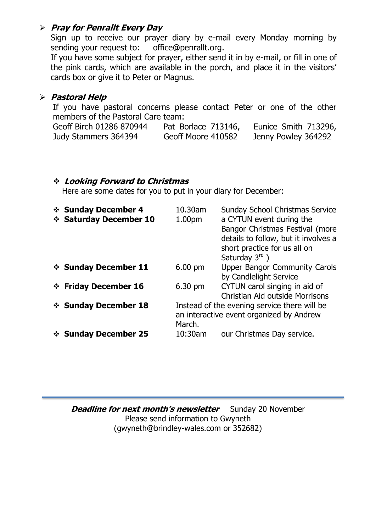### **Pray for Penrallt Every Day**

Sign up to receive our prayer diary by e-mail every Monday morning by sending your request to: [office@penrallt.org.](mailto:office@penrallt.org)

If you have some subject for prayer, either send it in by e-mail, or fill in one of the pink cards, which are available in the porch, and place it in the visitors' cards box or give it to Peter or Magnus.

### **Pastoral Help**

If you have pastoral concerns please contact Peter or one of the other members of the Pastoral Care team:

| Geoff Birch 01286 870944 | Pat Borlace 713146, | Eunice Smith 713296, |
|--------------------------|---------------------|----------------------|
| Judy Stammers 364394     | Geoff Moore 410582  | Jenny Powley 364292  |

### **Looking Forward to Christmas**

Here are some dates for you to put in your diary for December:

| ❖ Sunday December 4<br>❖ Saturday December 10 | 10.30am<br>1.00pm                                                                                  | <b>Sunday School Christmas Service</b><br>a CYTUN event during the<br>Bangor Christmas Festival (more<br>details to follow, but it involves a<br>short practice for us all on<br>Saturday $3^{\text{rd}}$ ) |
|-----------------------------------------------|----------------------------------------------------------------------------------------------------|-------------------------------------------------------------------------------------------------------------------------------------------------------------------------------------------------------------|
| ❖ Sunday December 11                          | $6.00$ pm                                                                                          | <b>Upper Bangor Community Carols</b><br>by Candlelight Service                                                                                                                                              |
| ❖ Friday December 16                          | $6.30 \text{ pm}$                                                                                  | CYTUN carol singing in aid of<br><b>Christian Aid outside Morrisons</b>                                                                                                                                     |
| ❖ Sunday December 18                          | Instead of the evening service there will be<br>an interactive event organized by Andrew<br>March. |                                                                                                                                                                                                             |
| ❖ Sunday December 25                          | 10:30am                                                                                            | our Christmas Day service.                                                                                                                                                                                  |

**Deadline for next month's newsletter** Sunday 20 November Please send information to Gwyneth [\(gwyneth@brindley-wales.com](mailto:gwyneth@brindley-wales.com) or 352682)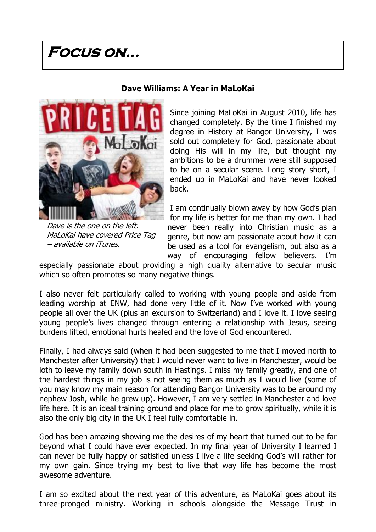## **Focus on…**



Dave is the one on the left. MaLoKai have covered Price Tag – available on iTunes.

#### **Dave Williams: A Year in MaLoKai**

Since joining MaLoKai in August 2010, life has changed completely. By the time I finished my degree in History at Bangor University, I was sold out completely for God, passionate about doing His will in my life, but thought my ambitions to be a drummer were still supposed to be on a secular scene. Long story short, I ended up in MaLoKai and have never looked back.

I am continually blown away by how God's plan for my life is better for me than my own. I had never been really into Christian music as a genre, but now am passionate about how it can be used as a tool for evangelism, but also as a way of encouraging fellow believers. I'm

especially passionate about providing a high quality alternative to secular music which so often promotes so many negative things.

I also never felt particularly called to working with young people and aside from leading worship at ENW, had done very little of it. Now I've worked with young people all over the UK (plus an excursion to Switzerland) and I love it. I love seeing young people's lives changed through entering a relationship with Jesus, seeing burdens lifted, emotional hurts healed and the love of God encountered.

Finally, I had always said (when it had been suggested to me that I moved north to Manchester after University) that I would never want to live in Manchester, would be loth to leave my family down south in Hastings. I miss my family greatly, and one of the hardest things in my job is not seeing them as much as I would like (some of you may know my main reason for attending Bangor University was to be around my nephew Josh, while he grew up). However, I am very settled in Manchester and love life here. It is an ideal training ground and place for me to grow spiritually, while it is also the only big city in the UK I feel fully comfortable in.

God has been amazing showing me the desires of my heart that turned out to be far beyond what I could have ever expected. In my final year of University I learned I can never be fully happy or satisfied unless I live a life seeking God's will rather for my own gain. Since trying my best to live that way life has become the most awesome adventure.

I am so excited about the next year of this adventure, as MaLoKai goes about its three-pronged ministry. Working in schools alongside the Message Trust in